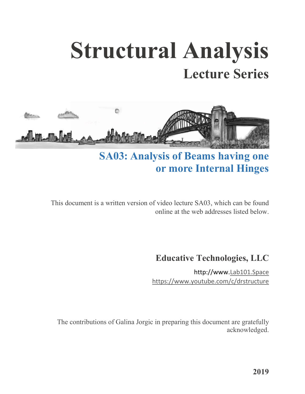## **Structural Analysis Lecture Series**



## **SA03: Analysis of Beams having one or more Internal Hinges**

This document is a written version of video lecture SA03, which can be found online at the web addresses listed below.

## **Educative Technologies, LLC**

http://www[.Lab101.Space](http://lab101.space/) <https://www.youtube.com/c/drstructure>

The contributions of Galina Jorgic in preparing this document are gratefully acknowledged.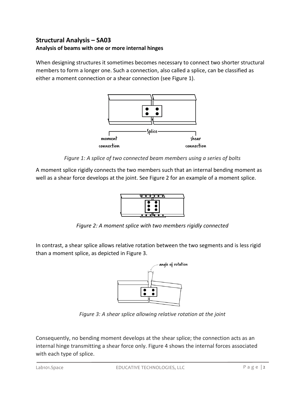## **Structural Analysis – SA03 Analysis of beams with one or more internal hinges**

When designing structures it sometimes becomes necessary to connect two shorter structural members to form a longer one. Such a connection, also called a splice, can be classified as either a moment connection or a shear connection (see Figure 1).



*Figure 1: A splice of two connected beam members using a series of bolts*

A moment splice rigidly connects the two members such that an internal bending moment as well as a shear force develops at the joint. See Figure 2 for an example of a moment splice.



*Figure 2: A moment splice with two members rigidly connected*

In contrast, a shear splice allows relative rotation between the two segments and is less rigid than a moment splice, as depicted in Figure 3.



*Figure 3: A shear splice allowing relative rotation at the joint*

Consequently, no bending moment develops at the shear splice; the connection acts as an internal hinge transmitting a shear force only. Figure 4 shows the internal forces associated with each type of splice.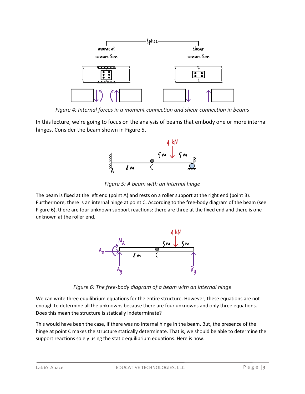

*Figure 4: Internal forces in a moment connection and shear connection in beams*

In this lecture, we're going to focus on the analysis of beams that embody one or more internal hinges. Consider the beam shown in Figure 5.



*Figure 5: A beam with an internal hinge*

The beam is fixed at the left end (point A) and rests on a roller support at the right end (point B). Furthermore, there is an internal hinge at point C. According to the free-body diagram of the beam (see Figure 6), there are four unknown support reactions: there are three at the fixed end and there is one unknown at the roller end.



*Figure 6: The free-body diagram of a beam with an internal hinge*

We can write three equilibrium equations for the entire structure. However, these equations are not enough to determine all the unknowns because there are four unknowns and only three equations. Does this mean the structure is statically indeterminate?

This would have been the case, if there was no internal hinge in the beam. But, the presence of the hinge at point C makes the structure statically determinate. That is, we should be able to determine the support reactions solely using the static equilibrium equations. Here is how.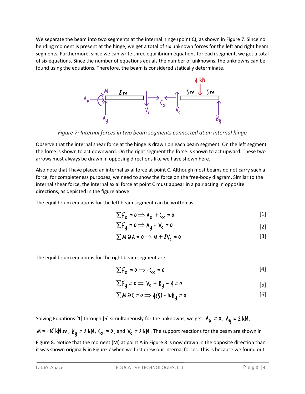We separate the beam into two segments at the internal hinge (point C), as shown in Figure 7. Since no bending moment is present at the hinge, we get a total of six unknown forces for the left and right beam segments. Furthermore, since we can write three equilibrium equations for each segment, we get a total of six equations. Since the number of equations equals the number of unknowns, the unknowns can be found using the equations. Therefore, the beam is considered statically determinate.



*Figure 7: Internal forces in two beam segments connected at an internal hinge*

Observe that the internal shear force at the hinge is drawn on each beam segment. On the left segment the force is shown to act downward. On the right segment the force is shown to act upward. These two arrows must always be drawn in opposing directions like we have shown here.

Also note that I have placed an internal axial force at point C. Although most beams do not carry such a force, for completeness purposes, we need to show the force on the free-body diagram. Similar to the internal shear force, the internal axial force at point C must appear in a pair acting in opposite directions, as depicted in the figure above.

The equilibrium equations for the left beam segment can be written as:

$$
\sum F_{\mathbf{x}} = \mathbf{0} \Longrightarrow A_{\mathbf{x}} + C_{\mathbf{x}} = \mathbf{0}
$$
 [1]

$$
\sum F_y = 0 \Longrightarrow A_y - V_c = 0
$$
 [2]

$$
\sum M \hat{\omega} A = 0 \Longrightarrow M + \hat{\delta} V_c = 0
$$
 [3]

The equilibrium equations for the right beam segment are:

$$
\sum F_{\mathbf{x}} = \mathbf{0} \Longrightarrow -\mathbf{C}_{\mathbf{x}} = \mathbf{0} \tag{4}
$$

$$
\sum F_y = 0 \Longrightarrow V_c + B_y - 4 = 0
$$
 [5]

$$
\sum M \,\hat{\omega} \, \zeta = 0 \Longrightarrow \, 4(5) - 10B_y = 0 \tag{6}
$$

Solving Equations [1] through [6] simultaneously for the unknowns, we get:  $A_x = 0$ ,  $A_y = 2$  kN,

 $M = -16$  kN·m,  $B_y = 2$  kN,  $C_x = 0$ , and  $V_c = 2$  kN . The support reactions for the beam are shown in

Figure 8. Notice that the moment (M) at point A in Figure 8 is now drawn in the opposite direction than it was shown originally in Figure 7 when we first drew our internal forces. This is because we found out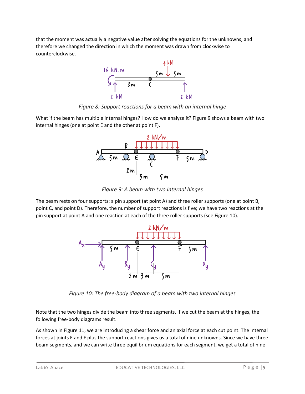that the moment was actually a negative value after solving the equations for the unknowns, and therefore we changed the direction in which the moment was drawn from clockwise to counterclockwise.



*Figure 8: Support reactions for a beam with an internal hinge*

What if the beam has multiple internal hinges? How do we analyze it? Figure 9 shows a beam with two internal hinges (one at point E and the other at point F).



*Figure 9: A beam with two internal hinges*

The beam rests on four supports: a pin support (at point A) and three roller supports (one at point B, point C, and point D). Therefore, the number of support reactions is five; we have two reactions at the pin support at point A and one reaction at each of the three roller supports (see Figure 10).



*Figure 10: The free-body diagram of a beam with two internal hinges*

Note that the two hinges divide the beam into three segments. If we cut the beam at the hinges, the following free-body diagrams result.

As shown in Figure 11, we are introducing a shear force and an axial force at each cut point. The internal forces at joints E and F plus the support reactions gives us a total of nine unknowns. Since we have three beam segments, and we can write three equilibrium equations for each segment, we get a total of nine